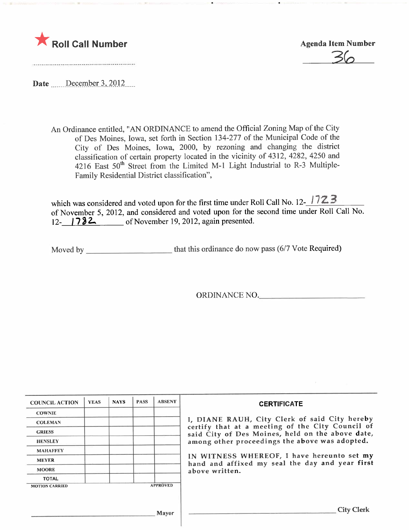

3((

Date December 3, 2012

An Ordinance entitled, "AN ORDINANCE to amend the Official Zoning Map of the City of Des Moines, Iowa, set forth in Section 134-277 of the Municipal Code of the City of Des Moines, Iowa, 2000, by rezoning and changing the district classification of certain property located in the vicinity of 4312, 4282, 4250 and 4216 East 50<sup>th</sup> Street from the Limited M-1 Light Industrial to R-3 Multiple-Family Residential District classification",

which was considered and voted upon for the first time under Roll Call No. 12- $\frac{1723}{ }$ of November 5, 2012, and considered and voted upon for the second time under Roll Call No. 12- **782** of November 19, 2012, again presented.

Moved by that this ordinance do now pass (6/7 Vote Required)

ORDINANCE NO.

| <b>COUNCIL ACTION</b> | <b>YEAS</b> | <b>NAYS</b> | <b>PASS</b> | <b>ABSENT</b>   | <b>CERTIFICATE</b>                                                                                              |
|-----------------------|-------------|-------------|-------------|-----------------|-----------------------------------------------------------------------------------------------------------------|
| <b>COWNIE</b>         |             |             |             |                 |                                                                                                                 |
| <b>COLEMAN</b>        |             |             |             |                 | I, DIANE RAUH, City Clerk of said City hereby<br>certify that at a meeting of the City Council of               |
| <b>GRIESS</b>         |             |             |             |                 | said City of Des Moines, held on the above date,<br>among other proceedings the above was adopted.              |
| <b>HENSLEY</b>        |             |             |             |                 |                                                                                                                 |
| <b>MAHAFFEY</b>       |             |             |             |                 |                                                                                                                 |
| <b>MEYER</b>          |             |             |             |                 | IN WITNESS WHEREOF, I have hereunto set my<br>hand and affixed my seal the day and year first<br>above written. |
| <b>MOORE</b>          |             |             |             |                 |                                                                                                                 |
| <b>TOTAL</b>          |             |             |             |                 |                                                                                                                 |
| <b>MOTION CARRIED</b> |             |             |             | <b>APPROVED</b> |                                                                                                                 |
|                       |             |             |             | <b>Mayor</b>    | <b>City Clerk</b>                                                                                               |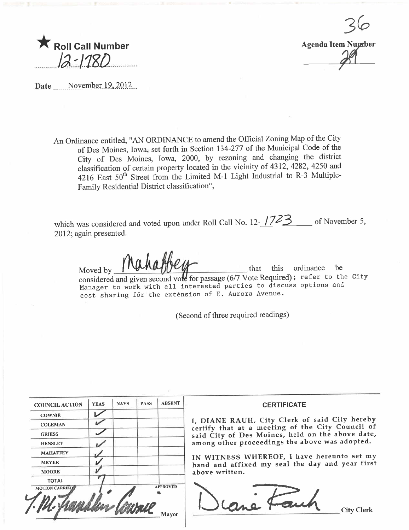



Date November 19, 2012...

An Ordinance entitled, TRV ORDINANCE to american 134-277 of the Municipal Code of the Offcial Code of the Offcial Code of the Offcial Code of the Ordinance of the Ordinance of the Ordinance of the Ordinance of the Ordinanc An Ordinance entitled, "AN ORDINANCE to amend the Official Zoning Map of the City City of Des Moines, Iowa, 2000, by rezoning and changing the district classification of certain property located in the vicinity of 4312, 4282, 4250 and 4216 East 50<sup>th</sup> Street from the Limited M-1 Light Industrial to R-3 Multiple-Family Residential District classification",

which was considered and voted upon under Roll Call No. 12- $\frac{1}{2}$  of November 5, 2012; again presented.

Moved by  $\frac{1}{\sqrt{2}}$  when  $\frac{1}{\sqrt{2}}$  that this ordinance be considered and given second vote for passage  $(6/7$  Vote Required); refer to the City Manager to work with all interested parties to discuss options and cost sharing fõr the exténsion of E. Aurora Avenue.

(Second of three required readings)

| <b>COUNCIL ACTION</b> | <b>YEAS</b> | <b>NAYS</b> | <b>PASS</b> | <b>ABSENT</b>   | <b>CERTIFICATE</b>                                                                                                                                                                                                                                                                                                         |
|-----------------------|-------------|-------------|-------------|-----------------|----------------------------------------------------------------------------------------------------------------------------------------------------------------------------------------------------------------------------------------------------------------------------------------------------------------------------|
| <b>COWNIE</b>         |             |             |             |                 | I, DIANE RAUH, City Clerk of said City hereby<br>certify that at a meeting of the City Council of<br>said City of Des Moines, held on the above date,<br>among other proceedings the above was adopted.<br>IN WITNESS WHEREOF, I have hereunto set my<br>hand and affixed my seal the day and year first<br>above written. |
| <b>COLEMAN</b>        |             |             |             |                 |                                                                                                                                                                                                                                                                                                                            |
| <b>GRIESS</b>         |             |             |             |                 |                                                                                                                                                                                                                                                                                                                            |
| <b>HENSLEY</b>        |             |             |             |                 |                                                                                                                                                                                                                                                                                                                            |
| <b>MAHAFFEY</b>       |             |             |             |                 |                                                                                                                                                                                                                                                                                                                            |
| <b>MEYER</b>          |             |             |             |                 |                                                                                                                                                                                                                                                                                                                            |
| <b>MOORE</b>          |             |             |             |                 |                                                                                                                                                                                                                                                                                                                            |
| <b>TOTAL</b>          |             |             |             |                 |                                                                                                                                                                                                                                                                                                                            |
| <b>MOTION CARRIED</b> |             |             |             | <b>APPROVED</b> | <b>City Clerk</b>                                                                                                                                                                                                                                                                                                          |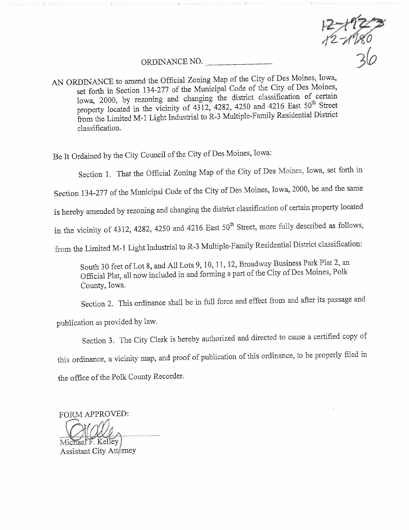$2 + 122$ 

## ORDINANCE NO.

AN ORDINANCE to amend the Official Zoning Map of the City of Des Moines, Iowa, set forth in Section 134-277 of the Municipal Code of the City of Des Moines,  $\frac{1}{2}$  section 134-277 of the Municipal Code of  $\frac{1}{2}$  or the City of  $\frac{1}{2}$ Iowa, 2000, by rezoning and changing the district classification of certain  $10^{10}$  Street property located in the vicinity of 4312, 4282, 4250 and 4216 East 50<sup>th</sup> Street from the Limited M-1 Light Industrial to R-3 Multiple-Family Residential District classifcation.

Be It Ordained by the City Council of the City of Des Moines, Towa.

Section 1. That the Official Zoning Map of the City of Des Moines, Iowa, set forth in

Section 134-277 of the Muncipal Code of the City of Des Moines, Iowa, 2000, be and the same

is hereby amended by rezoning and changing the district classification of certain property located

in the vicinity of 4312, 4282, 4250 and 4216 East 50<sup>th</sup> Street, more fully described as follows,

from the Limited M-1 Light Industrial to R-3 Multiple-Family Residential District classification:

South 30 feet of Lot 8, and All Lots 9, 10, 11, 12, Broadway Business Park Plat 2, an Official Plat, all now included in and forming a part of the City of Des Moines, Polk County, Iowa.

Section 2. This ordinance shall be in full force and effect from and after its passage and

publication as provided by law.

Section 3. The City Clerk is hereby authorized and directed to cause a certifed copy of this ordinance, a vicinity map, and proof of publication of this ordinance, to be properly filed in the office of the Polk County Recorder.

FORM APPROVED:

chael F. Kelley

Assistant City Attorney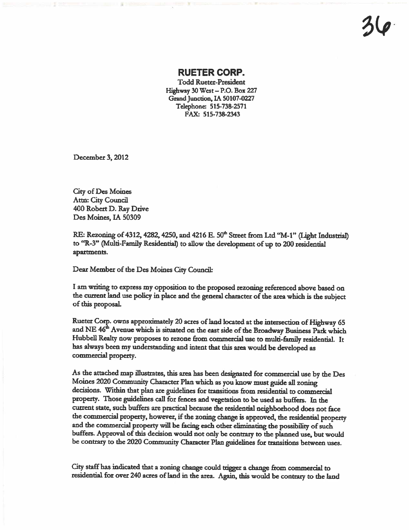## RUETER CORP.

Todd Rueter-Presdent Highway  $30$  West - P.O. Box 227 Grand Junction, IA 50107-0227 Telephone: 515-738-2571 FAX: 515-738-2343

December 3, 2012

City of Des Moines Attn: City Council 400 Robert D. Ray Drive Des Moines. IA 50309

RE: Rezoning of 4312, 4282, 4250, and 4216 E. 50<sup>th</sup> Street from Ltd "M-1" (Light Industrial) to "R-3" (Multi-Family Residential) to allow the development of up to 200 residential apartments.

Dear Member of the Des Moines City Council:

I am writing to express my opposition to the proposed rezoning referenced above based on the current land use policy in place and the general character of the area which is the subject of this proposal.

Rueter Corp. owns approximately 20 acres of land located at the intersection of Highway 65 and NE 46<sup>th</sup> Avenue which is situated on the east side of the Broadway Business Park which Hubbell Realty now proposes to rezone from commercial use to multi-family residential. It has always been my understanding and intent that this area would be developed as commercial property.

As the attached map illustrates, this area has been designated for commercial use by the Des Moines 2020 Community Character Plan which as you know must guide all zoning decisions. Within that plan are guidelines for transitions from residential to commercial property. Those guidelines call for fences and vegetation to be used as buffers. In the current state, such buffers are practical because the residential neighborhood does not face the commercial property, however, if the zoning change is approved, the residential property and the commercial property will be facing each other eliminating the possibility of such buffers. Approval of this decision would not only be contrary to the planned use, but would be contrary to the 2020 Community Character Plan guidelines for transitions between uses.

City staff has indicated that a zoning change could trigger a change from commercial to residential for over 240 acres of land in the area. Again, this would be contrary to the land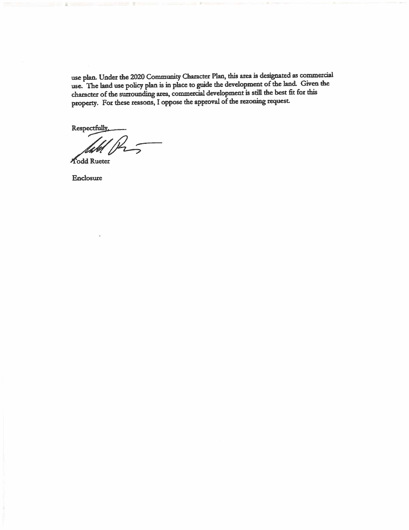use plan. Under the 2020 Community Character Plan, this area is designated as commercial use. The land use policy plan is in place to guide the development of the land. Given the character of the surrounding area, commercial development is still the best fit for this property. For these reasons, I oppose the approval of the rezoning request.

Respectfully

 $\frac{1}{2}$  $\tilde{z}$ 

**Todd Rueter** 

Enclosure